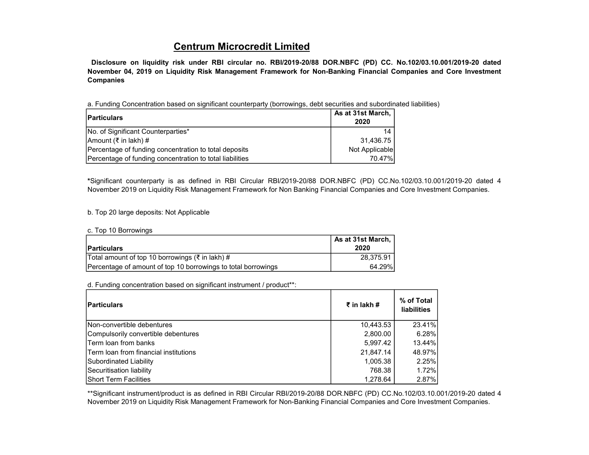## Centrum Microcredit Limited

Disclosure on liquidity risk under RBI circular no. RBI/2019-20/88 DOR.NBFC (PD) CC. No.102/03.10.001/2019-20 dated November 04, 2019 on Liquidity Risk Management Framework for Non-Banking Financial Companies and Core Investment Companies

a. Funding Concentration based on significant counterparty (borrowings, debt securities and subordinated liabilities)

| <b>Particulars</b>                                       | As at 31st March,<br>2020 |
|----------------------------------------------------------|---------------------------|
| No. of Significant Counterparties*                       | 14                        |
| Amount (₹ in lakh) #                                     | 31,436.75                 |
| Percentage of funding concentration to total deposits    | Not Applicable            |
| Percentage of funding concentration to total liabilities | 70.47%                    |

\*Significant counterparty is as defined in RBI Circular RBI/2019-20/88 DOR.NBFC (PD) CC.No.102/03.10.001/2019-20 dated 4 November 2019 on Liquidity Risk Management Framework for Non Banking Financial Companies and Core Investment Companies.

## b. Top 20 large deposits: Not Applicable

## c. Top 10 Borrowings

| <b>Particulars</b>                                            | As at 31st March, I<br>2020 |
|---------------------------------------------------------------|-----------------------------|
| Total amount of top 10 borrowings (₹ in lakh) #               | 28,375.91                   |
| Percentage of amount of top 10 borrowings to total borrowings | 64.29%                      |

d. Funding concentration based on significant instrument / product\*\*:

| <b>Particulars</b>                            | $\bar{\tau}$ in lakh # | % of Total<br><b>liabilities</b> |
|-----------------------------------------------|------------------------|----------------------------------|
| Non-convertible debentures                    | 10,443.53              | 23.41%                           |
| Compulsorily convertible debentures           | 2,800.00               | 6.28%                            |
| <b>Term loan from banks</b>                   | 5,997.42               | 13.44%                           |
| <b>ITerm loan from financial institutions</b> | 21,847.14              | 48.97%                           |
| Subordinated Liability                        | 1,005.38               | 2.25%                            |
| Securitisation liability                      | 768.38                 | 1.72%                            |
| <b>IShort Term Facilities</b>                 | 1.278.64               | 2.87%                            |

\*\*Significant instrument/product is as defined in RBI Circular RBI/2019-20/88 DOR.NBFC (PD) CC.No.102/03.10.001/2019-20 dated 4 November 2019 on Liquidity Risk Management Framework for Non-Banking Financial Companies and Core Investment Companies.